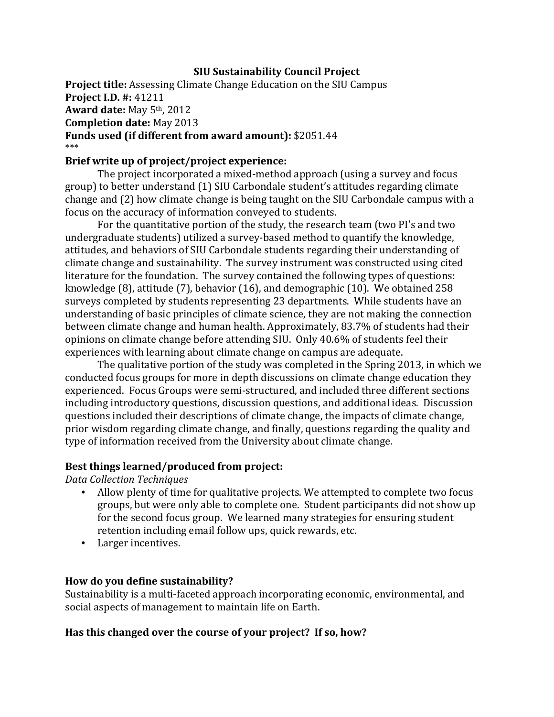### **SIU Sustainability Council Project**

**Project title:** Assessing Climate Change Education on the SIU Campus **Project I.D. #:** 41211 **Award date:** May 5th, 2012 **Completion date:** May 2013 **Funds used (if different from award amount):** \$2051.44 \*\*\*

### **Brief write up of project/project experience:**

The project incorporated a mixed-method approach (using a survey and focus group) to better understand (1) SIU Carbondale student's attitudes regarding climate change and (2) how climate change is being taught on the SIU Carbondale campus with a focus on the accuracy of information conveyed to students.

For the quantitative portion of the study, the research team (two PI's and two undergraduate students) utilized a survey-based method to quantify the knowledge, attitudes, and behaviors of SIU Carbondale students regarding their understanding of climate change and sustainability. The survey instrument was constructed using cited literature for the foundation. The survey contained the following types of questions: knowledge (8), attitude (7), behavior (16), and demographic (10). We obtained 258 surveys completed by students representing 23 departments. While students have an understanding of basic principles of climate science, they are not making the connection between climate change and human health. Approximately, 83.7% of students had their opinions on climate change before attending SIU. Only 40.6% of students feel their experiences with learning about climate change on campus are adequate.

The qualitative portion of the study was completed in the Spring 2013, in which we conducted focus groups for more in depth discussions on climate change education they experienced. Focus Groups were semi-structured, and included three different sections including introductory questions, discussion questions, and additional ideas. Discussion questions included their descriptions of climate change, the impacts of climate change, prior wisdom regarding climate change, and finally, questions regarding the quality and type of information received from the University about climate change.

#### **Best things learned/produced from project:**

*Data Collection Techniques*

- Allow plenty of time for qualitative projects. We attempted to complete two focus groups, but were only able to complete one. Student participants did not show up for the second focus group. We learned many strategies for ensuring student retention including email follow ups, quick rewards, etc.
- Larger incentives.

#### **How do you define sustainability?**

Sustainability is a multi-faceted approach incorporating economic, environmental, and social aspects of management to maintain life on Earth.

#### **Has this changed over the course of your project? If so, how?**